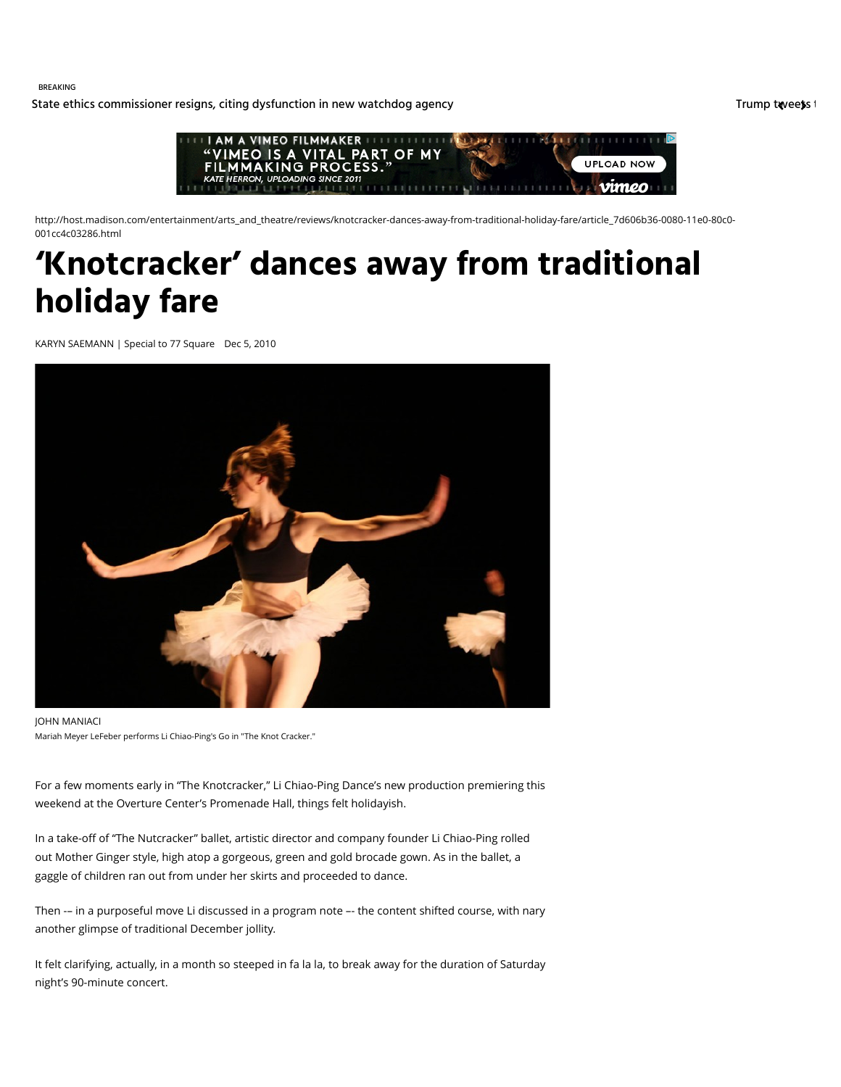BREAKING

[State ethics commissioner resigns, citing dysfunction in new watchdog agency](http://host.madison.com/wsj/news/local/govt-and-politics/state-ethics-commissioner-resigns-citing-dysfunction-in-new-watchdog-agency/article_f219492a-1fa7-5aa2-86d0-c095d49db057.html) [Trump tweets t](http://host.madison.com/wsj/news/local/trump-tweets-that-f--program-is-costly-days-after/article_39a784b0-0e56-50d1-986d-c4819bfe2f41.html)hat F-35 program is considered as home for the m is considered as home for the m is costly days after Trump tweets in the m is cons



http://host.madison.com/entertainment/arts\_and\_theatre/reviews/knotcracker-dances-away-from-traditional-holiday-fare/article\_7d606b36-0080-11e0-80c0- 001cc4c03286.html

## **'Knotcracker' dances away from traditional holiday fare**

KARYN SAEMANN | Special to 77 Square Dec 5, 2010



JOHN MANIACI Mariah Meyer LeFeber performs Li Chiao-Ping's Go in "The Knot Cracker."

For a few moments early in "The Knotcracker," Li Chiao-Ping Dance's new production premiering this weekend at the Overture Center's Promenade Hall, things felt holidayish.

In a take-off of "The Nutcracker" ballet, artistic director and company founder Li Chiao-Ping rolled out Mother Ginger style, high atop a gorgeous, green and gold brocade gown. As in the ballet, a gaggle of children ran out from under her skirts and proceeded to dance.

Then -– in a purposeful move Li discussed in a program note –- the content shifted course, with nary another glimpse of traditional December jollity.

It felt clarifying, actually, in a month so steeped in fa la la, to break away for the duration of Saturday night's 90-minute concert.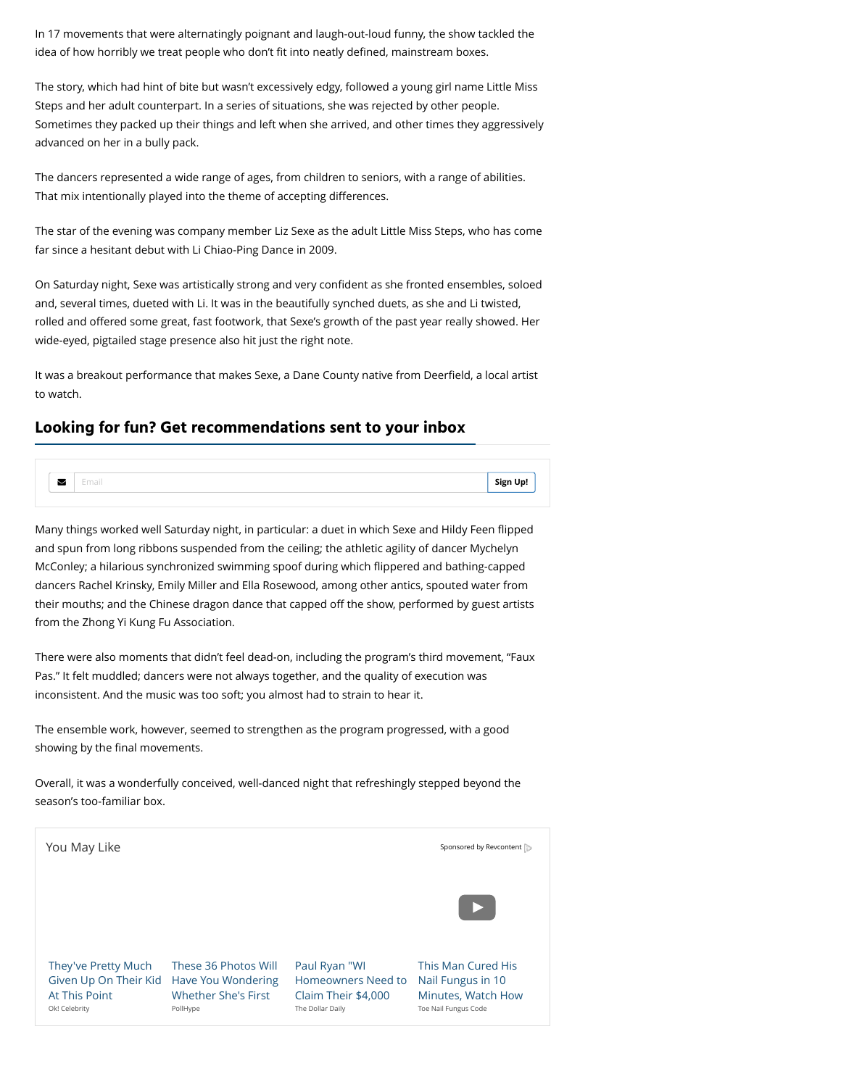In 17 movements that were alternatingly poignant and laugh-out-loud funny, the show tackled the idea of how horribly we treat people who don't fit into neatly defined, mainstream boxes.

The story, which had hint of bite but wasn't excessively edgy, followed a young girl name Little Miss Steps and her adult counterpart. In a series of situations, she was rejected by other people. Sometimes they packed up their things and left when she arrived, and other times they aggressively advanced on her in a bully pack.

The dancers represented a wide range of ages, from children to seniors, with a range of abilities. That mix intentionally played into the theme of accepting differences.

The star of the evening was company member Liz Sexe as the adult Little Miss Steps, who has come far since a hesitant debut with Li Chiao-Ping Dance in 2009.

On Saturday night, Sexe was artistically strong and very confident as she fronted ensembles, soloed and, several times, dueted with Li. It was in the beautifully synched duets, as she and Li twisted, rolled and offered some great, fast footwork, that Sexe's growth of the past year really showed. Her wide-eyed, pigtailed stage presence also hit just the right note.

It was a breakout performance that makes Sexe, a Dane County native from Deerfield, a local artist to watch.

## **Looking for fun? Get recommendations sent to your inbox**

|  | <b>Sian</b><br><b>In</b> |
|--|--------------------------|
|  |                          |

Many things worked well Saturday night, in particular: a duet in which Sexe and Hildy Feen flipped and spun from long ribbons suspended from the ceiling; the athletic agility of dancer Mychelyn McConley; a hilarious synchronized swimming spoof during which flippered and bathing-capped dancers Rachel Krinsky, Emily Miller and Ella Rosewood, among other antics, spouted water from their mouths; and the Chinese dragon dance that capped off the show, performed by guest artists from the Zhong Yi Kung Fu Association.

There were also moments that didn't feel dead-on, including the program's third movement, "Faux Pas." It felt muddled; dancers were not always together, and the quality of execution was inconsistent. And the music was too soft; you almost had to strain to hear it.

The ensemble work, however, seemed to strengthen as the program progressed, with a good showing by the final movements.

Overall, it was a wonderfully conceived, well-danced night that refreshingly stepped beyond the season's too-familiar box.